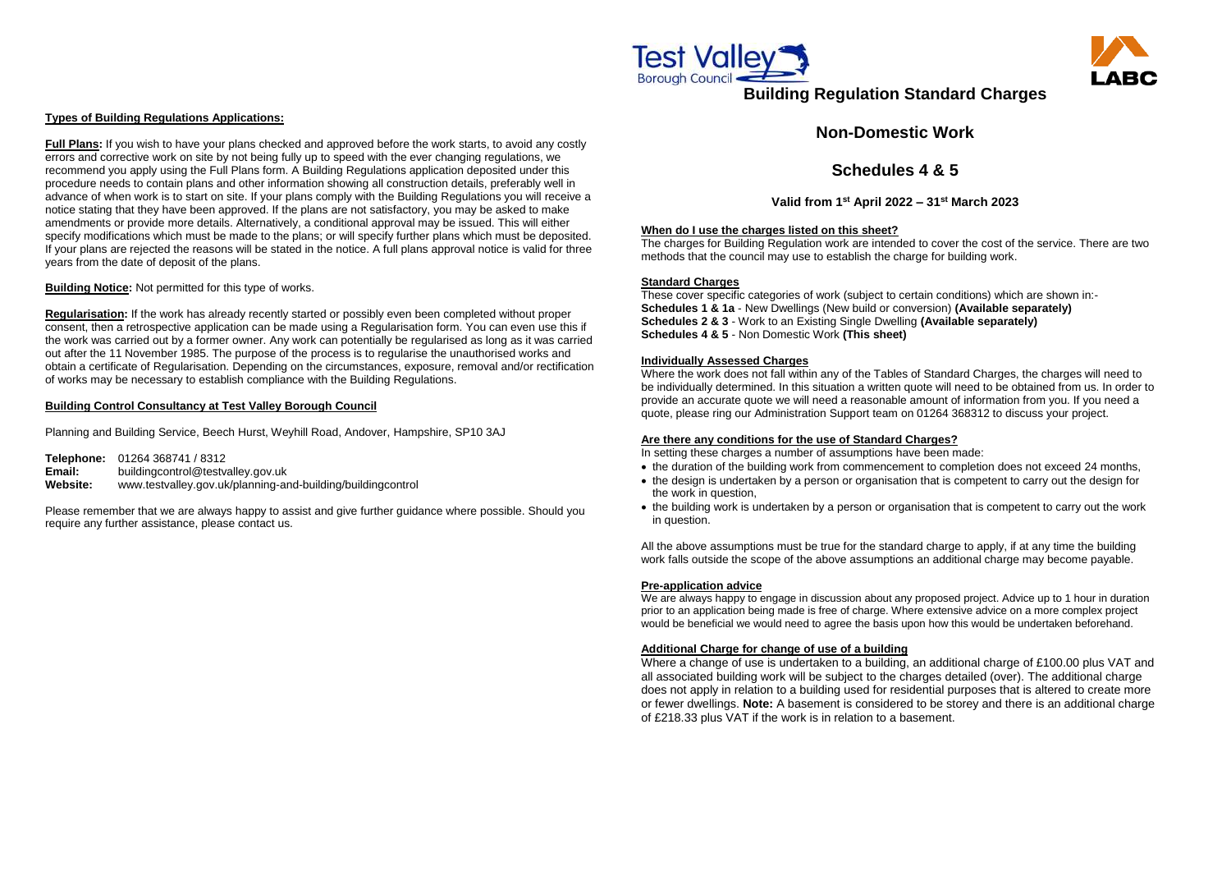### **Types of Building Regulations Applications:**

**Full Plans:** If you wish to have your plans checked and approved before the work starts, to avoid any costly errors and corrective work on site by not being fully up to speed with the ever changing regulations, we recommend you apply using the Full Plans form. A Building Regulations application deposited under this procedure needs to contain plans and other information showing all construction details, preferably well in advance of when work is to start on site. If your plans comply with the Building Regulations you will receive a notice stating that they have been approved. If the plans are not satisfactory, you may be asked to make amendments or provide more details. Alternatively, a conditional approval may be issued. This will either specify modifications which must be made to the plans; or will specify further plans which must be deposited. If your plans are rejected the reasons will be stated in the notice. A full plans approval notice is valid for three years from the date of deposit of the plans.

**Building Notice:** Not permitted for this type of works.

**Regularisation:** If the work has already recently started or possibly even been completed without proper consent, then a retrospective application can be made using a Regularisation form. You can even use this if the work was carried out by a former owner. Any work can potentially be regularised as long as it was carried out after the 11 November 1985. The purpose of the process is to regularise the unauthorised works and obtain a certificate of Regularisation. Depending on the circumstances, exposure, removal and/or rectification of works may be necessary to establish compliance with the Building Regulations.

### **Building Control Consultancy at Test Valley Borough Council**

Planning and Building Service, Beech Hurst, Weyhill Road, Andover, Hampshire, SP10 3AJ

- the duration of the building work from commencement to completion does not exceed 24 months, the design is undertaken by a person or organisation that is competent to carry out the design for the work in question,
- the building work is undertaken by a person or organisation that is competent to carry out the work in question.

**Telephone:** 01264 368741 / 8312 **Email:** [buildingcontrol@testvalley.gov.uk](mailto:buildingcontrol@testvalley.gov.uk) **Website:** www.testvalley.gov.uk/planning-and-building/buildingcontrol

Please remember that we are always happy to assist and give further guidance where possible. Should you require any further assistance, please contact us.



# **Building Regulation Standard Charges**

## **Non-Domestic Work**

## **Schedules 4 & 5**

**Valid from 1st April 2022 – 31st March 2023**

#### **When do I use the charges listed on this sheet?**

The charges for Building Regulation work are intended to cover the cost of the service. There are two methods that the council may use to establish the charge for building work.

### **Standard Charges**

These cover specific categories of work (subject to certain conditions) which are shown in:- **Schedules 1 & 1a** - New Dwellings (New build or conversion) **(Available separately) Schedules 2 & 3** - Work to an Existing Single Dwelling **(Available separately) Schedules 4 & 5** - Non Domestic Work **(This sheet)**

#### **Individually Assessed Charges**

Where the work does not fall within any of the Tables of Standard Charges, the charges will need to be individually determined. In this situation a written quote will need to be obtained from us. In order to provide an accurate quote we will need a reasonable amount of information from you. If you need a quote, please ring our Administration Support team on 01264 368312 to discuss your project.

### **Are there any conditions for the use of Standard Charges?**

In setting these charges a number of assumptions have been made:

All the above assumptions must be true for the standard charge to apply, if at any time the building work falls outside the scope of the above assumptions an additional charge may become payable.

#### **Pre-application advice**

We are always happy to engage in discussion about any proposed project. Advice up to 1 hour in duration prior to an application being made is free of charge. Where extensive advice on a more complex project would be beneficial we would need to agree the basis upon how this would be undertaken beforehand.

#### **Additional Charge for change of use of a building**

Where a change of use is undertaken to a building, an additional charge of £100.00 plus VAT and all associated building work will be subject to the charges detailed (over). The additional charge does not apply in relation to a building used for residential purposes that is altered to create more or fewer dwellings. **Note:** A basement is considered to be storey and there is an additional charge of £218.33 plus VAT if the work is in relation to a basement.